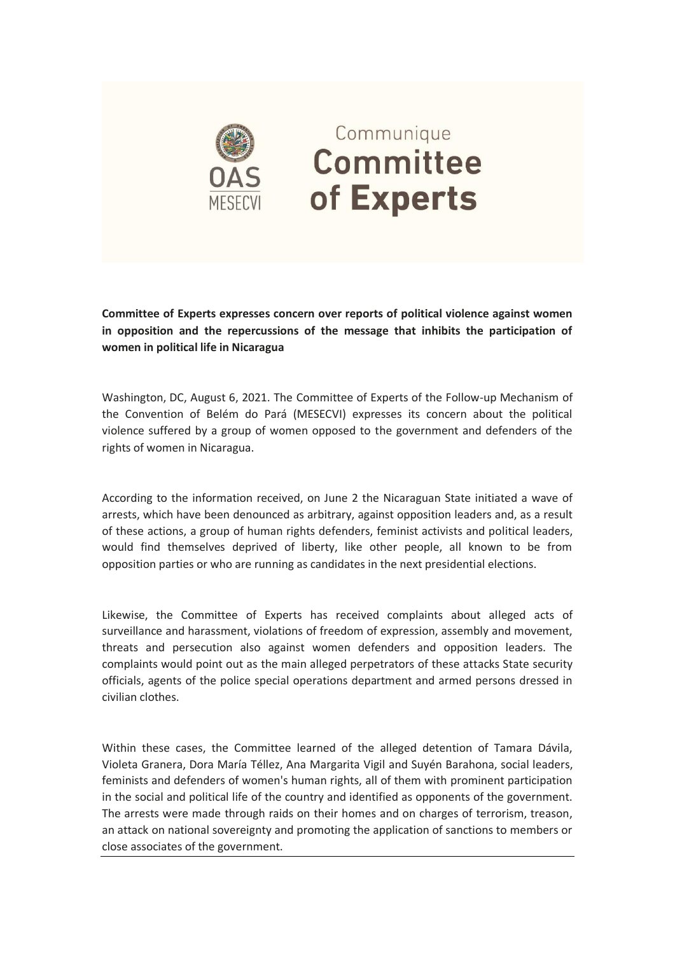

## Communique **Committee** of Experts

**Committee of Experts expresses concern over reports of political violence against women in opposition and the repercussions of the message that inhibits the participation of women in political life in Nicaragua**

Washington, DC, August 6, 2021. The Committee of Experts of the Follow-up Mechanism of the Convention of Belém do Pará (MESECVI) expresses its concern about the political violence suffered by a group of women opposed to the government and defenders of the rights of women in Nicaragua.

According to the information received, on June 2 the Nicaraguan State initiated a wave of arrests, which have been denounced as arbitrary, against opposition leaders and, as a result of these actions, a group of human rights defenders, feminist activists and political leaders, would find themselves deprived of liberty, like other people, all known to be from opposition parties or who are running as candidates in the next presidential elections.

Likewise, the Committee of Experts has received complaints about alleged acts of surveillance and harassment, violations of freedom of expression, assembly and movement, threats and persecution also against women defenders and opposition leaders. The complaints would point out as the main alleged perpetrators of these attacks State security officials, agents of the police special operations department and armed persons dressed in civilian clothes.

Within these cases, the Committee learned of the alleged detention of Tamara Dávila, Violeta Granera, Dora María Téllez, Ana Margarita Vigil and Suyén Barahona, social leaders, feminists and defenders of women's human rights, all of them with prominent participation in the social and political life of the country and identified as opponents of the government. The arrests were made through raids on their homes and on charges of terrorism, treason, an attack on national sovereignty and promoting the application of sanctions to members or close associates of the government.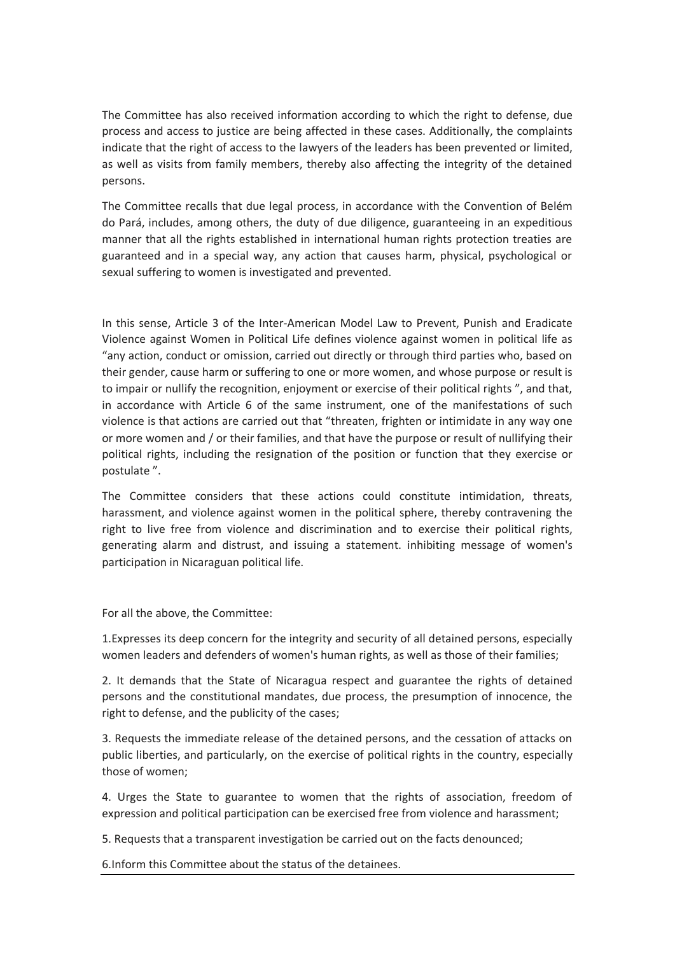The Committee has also received information according to which the right to defense, due process and access to justice are being affected in these cases. Additionally, the complaints indicate that the right of access to the lawyers of the leaders has been prevented or limited, as well as visits from family members, thereby also affecting the integrity of the detained persons.

The Committee recalls that due legal process, in accordance with the Convention of Belém do Pará, includes, among others, the duty of due diligence, guaranteeing in an expeditious manner that all the rights established in international human rights protection treaties are guaranteed and in a special way, any action that causes harm, physical, psychological or sexual suffering to women is investigated and prevented.

In this sense, Article 3 of the Inter-American Model Law to Prevent, Punish and Eradicate Violence against Women in Political Life defines violence against women in political life as "any action, conduct or omission, carried out directly or through third parties who, based on their gender, cause harm or suffering to one or more women, and whose purpose or result is to impair or nullify the recognition, enjoyment or exercise of their political rights ", and that, in accordance with Article 6 of the same instrument, one of the manifestations of such violence is that actions are carried out that "threaten, frighten or intimidate in any way one or more women and / or their families, and that have the purpose or result of nullifying their political rights, including the resignation of the position or function that they exercise or postulate ".

The Committee considers that these actions could constitute intimidation, threats, harassment, and violence against women in the political sphere, thereby contravening the right to live free from violence and discrimination and to exercise their political rights, generating alarm and distrust, and issuing a statement. inhibiting message of women's participation in Nicaraguan political life.

For all the above, the Committee:

1.Expresses its deep concern for the integrity and security of all detained persons, especially women leaders and defenders of women's human rights, as well as those of their families;

2. It demands that the State of Nicaragua respect and guarantee the rights of detained persons and the constitutional mandates, due process, the presumption of innocence, the right to defense, and the publicity of the cases;

3. Requests the immediate release of the detained persons, and the cessation of attacks on public liberties, and particularly, on the exercise of political rights in the country, especially those of women;

4. Urges the State to guarantee to women that the rights of association, freedom of expression and political participation can be exercised free from violence and harassment;

5. Requests that a transparent investigation be carried out on the facts denounced;

6.Inform this Committee about the status of the detainees.